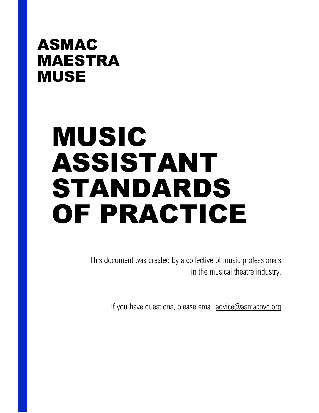## ASMAC MAESTRA MUSE

# MUSIC ASSISTANT STANDARDS OF PRACTICE

This document was created by a collective of music professionals in the musical theatre industry.

If you have questions, please email [advice@asmacnyc.org](mailto:advice@asmacnyc.org)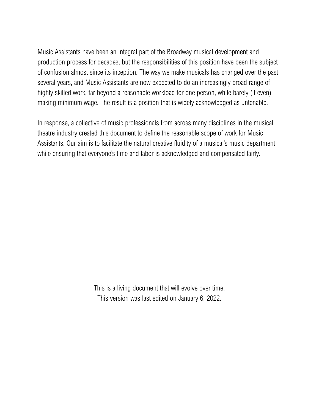Music Assistants have been an integral part of the Broadway musical development and production process for decades, but the responsibilities of this position have been the subject of confusion almost since its inception. The way we make musicals has changed over the past several years, and Music Assistants are now expected to do an increasingly broad range of highly skilled work, far beyond a reasonable workload for one person, while barely (if even) making minimum wage. The result is a position that is widely acknowledged as untenable.

In response, a collective of music professionals from across many disciplines in the musical theatre industry created this document to define the reasonable scope of work for Music Assistants. Our aim is to facilitate the natural creative fluidity of a musical's music department while ensuring that everyone's time and labor is acknowledged and compensated fairly.

> This is a living document that will evolve over time. This version was last edited on January 6, 2022.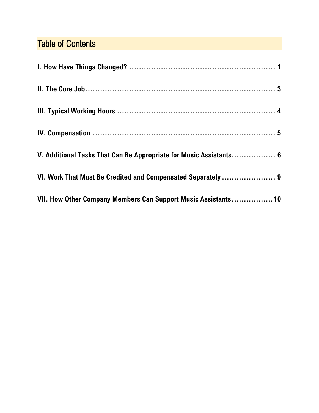### Table of Contents

| V. Additional Tasks That Can Be Appropriate for Music Assistants 6 |  |
|--------------------------------------------------------------------|--|
| VI. Work That Must Be Credited and Compensated Separately  9       |  |
| VII. How Other Company Members Can Support Music Assistants 10     |  |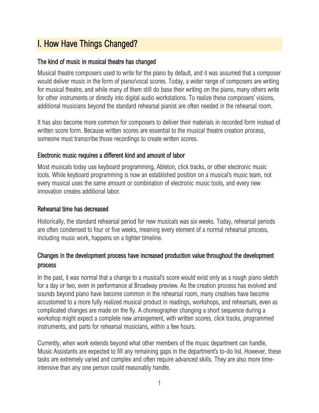### <span id="page-3-0"></span>I. How Have Things Changed?

### The kind of music in musical theatre has changed

Musical theatre composers used to write for the piano by default, and it was assumed that a composer would deliver music in the form of piano/vocal scores. Today, a wider range of composers are writing for musical theatre, and while many of them still do base their writing on the piano, many others write for other instruments or directly into digital audio workstations. To realize these composers' visions, additional musicians beyond the standard rehearsal pianist are often needed in the rehearsal room.

It has also become more common for composers to deliver their materials in recorded form instead of written score form. Because written scores are essential to the musical theatre creation process, someone must transcribe those recordings to create written scores.

### Electronic music requires a different kind and amount of labor

Most musicals today use keyboard programming, Ableton, click tracks, or other electronic music tools. While keyboard programming is now an established position on a musical's music team, not every musical uses the same amount or combination of electronic music tools, and every new innovation creates additional labor.

### Rehearsal time has decreased

Historically, the standard rehearsal period for new musicals was six weeks. Today, rehearsal periods are often condensed to four or five weeks, meaning every element of a normal rehearsal process, including music work, happens on a tighter timeline.

### Changes in the development process have increased production value throughout the development process

In the past, it was normal that a change to a musical's score would exist only as a rough piano sketch for a day or two, even in performance at Broadway preview. As the creation process has evolved and sounds beyond piano have become common in the rehearsal room, many creatives have become accustomed to a more fully realized musical product in readings, workshops, and rehearsals, even as complicated changes are made on the fly. A choreographer changing a short sequence during a workshop might expect a complete new arrangement, with written scores, click tracks, programmed instruments, and parts for rehearsal musicians, within a few hours.

Currently, when work extends beyond what other members of the music department can handle, Music Assistants are expected to fill any remaining gaps in the department's to-do list. However, these tasks are extremely varied and complex and often require advanced skills. They are also more timeintensive than any one person could reasonably handle.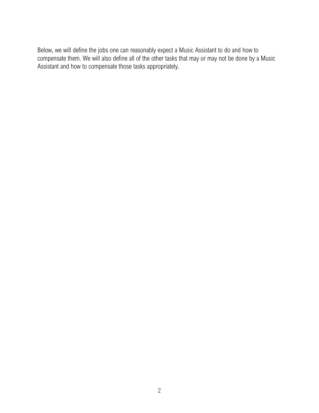Below, we will define the jobs one can reasonably expect a Music Assistant to do and how to compensate them. We will also define all of the other tasks that may or may not be done by a Music Assistant and how to compensate those tasks appropriately.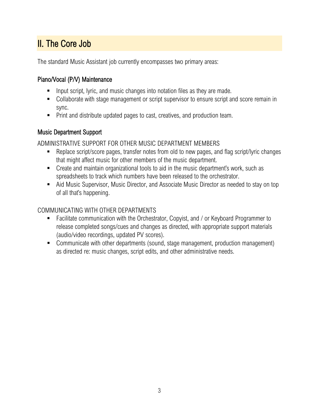### <span id="page-5-0"></span>II. The Core Job

The standard Music Assistant job currently encompasses two primary areas:

### Piano/Vocal (P/V) Maintenance

- **Input script, lyric, and music changes into notation files as they are made.**
- Collaborate with stage management or script supervisor to ensure script and score remain in sync.
- **Print and distribute updated pages to cast, creatives, and production team.**

### Music Department Support

ADMINISTRATIVE SUPPORT FOR OTHER MUSIC DEPARTMENT MEMBERS

- Replace script/score pages, transfer notes from old to new pages, and flag script/lyric changes that might affect music for other members of the music department.
- Create and maintain organizational tools to aid in the music department's work, such as spreadsheets to track which numbers have been released to the orchestrator.
- Aid Music Supervisor, Music Director, and Associate Music Director as needed to stay on top of all that's happening.

### COMMUNICATING WITH OTHER DEPARTMENTS

- Facilitate communication with the Orchestrator, Copyist, and / or Keyboard Programmer to release completed songs/cues and changes as directed, with appropriate support materials (audio/video recordings, updated PV scores).
- Communicate with other departments (sound, stage management, production management) as directed re: music changes, script edits, and other administrative needs.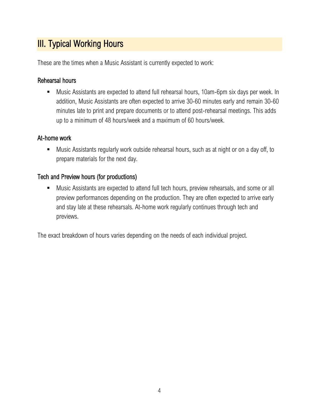### <span id="page-6-0"></span>**III. Typical Working Hours**

These are the times when a Music Assistant is currently expected to work:

### Rehearsal hours

 Music Assistants are expected to attend full rehearsal hours, 10am-6pm six days per week. In addition, Music Assistants are often expected to arrive 30-60 minutes early and remain 30-60 minutes late to print and prepare documents or to attend post-rehearsal meetings. This adds up to a minimum of 48 hours/week and a maximum of 60 hours/week.

### At-home work

 Music Assistants regularly work outside rehearsal hours, such as at night or on a day off, to prepare materials for the next day.

### Tech and Preview hours (for productions)

**Music Assistants are expected to attend full tech hours, preview rehearsals, and some or all** preview performances depending on the production. They are often expected to arrive early and stay late at these rehearsals. At-home work regularly continues through tech and previews.

The exact breakdown of hours varies depending on the needs of each individual project.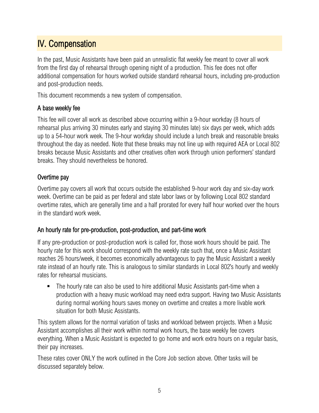### <span id="page-7-0"></span>IV. Compensation

In the past, Music Assistants have been paid an unrealistic flat weekly fee meant to cover all work from the first day of rehearsal through opening night of a production. This fee does not offer additional compensation for hours worked outside standard rehearsal hours, including pre-production and post-production needs.

This document recommends a new system of compensation.

### A base weekly fee

This fee will cover all work as described above occurring within a 9-hour workday (8 hours of rehearsal plus arriving 30 minutes early and staying 30 minutes late) six days per week, which adds up to a 54-hour work week. The 9-hour workday should include a lunch break and reasonable breaks throughout the day as needed. Note that these breaks may not line up with required AEA or Local 802 breaks because Music Assistants and other creatives often work through union performers' standard breaks. They should nevertheless be honored.

### Overtime pay

Overtime pay covers all work that occurs outside the established 9-hour work day and six-day work week. Overtime can be paid as per federal and state labor laws or by following Local 802 standard overtime rates, which are generally time and a half prorated for every half hour worked over the hours in the standard work week.

### An hourly rate for pre-production, post-production, and part-time work

If any pre-production or post-production work is called for, those work hours should be paid. The hourly rate for this work should correspond with the weekly rate such that, once a Music Assistant reaches 26 hours/week, it becomes economically advantageous to pay the Music Assistant a weekly rate instead of an hourly rate. This is analogous to similar standards in Local 802's hourly and weekly rates for rehearsal musicians.

 The hourly rate can also be used to hire additional Music Assistants part-time when a production with a heavy music workload may need extra support. Having two Music Assistants during normal working hours saves money on overtime and creates a more livable work situation for both Music Assistants.

This system allows for the normal variation of tasks and workload between projects. When a Music Assistant accomplishes all their work within normal work hours, the base weekly fee covers everything. When a Music Assistant is expected to go home and work extra hours on a regular basis, their pay increases.

These rates cover ONLY the work outlined in the Core Job section above. Other tasks will be discussed separately below.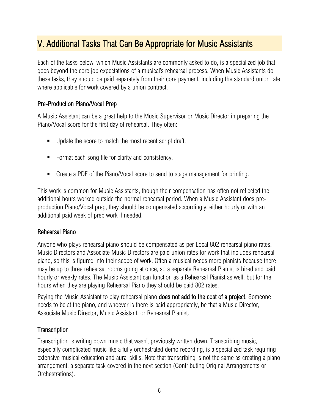### <span id="page-8-0"></span>V. Additional Tasks That Can Be Appropriate for Music Assistants

Each of the tasks below, which Music Assistants are commonly asked to do, is a specialized job that goes beyond the core job expectations of a musical's rehearsal process. When Music Assistants do these tasks, they should be paid separately from their core payment, including the standard union rate where applicable for work covered by a union contract.

### Pre-Production Piano/Vocal Prep

A Music Assistant can be a great help to the Music Supervisor or Music Director in preparing the Piano/Vocal score for the first day of rehearsal. They often:

- Update the score to match the most recent script draft.
- **Format each song file for clarity and consistency.**
- Create a PDF of the Piano/Vocal score to send to stage management for printing.

This work is common for Music Assistants, though their compensation has often not reflected the additional hours worked outside the normal rehearsal period. When a Music Assistant does preproduction Piano/Vocal prep, they should be compensated accordingly, either hourly or with an additional paid week of prep work if needed.

#### Rehearsal Piano

Anyone who plays rehearsal piano should be compensated as per Local 802 rehearsal piano rates. Music Directors and Associate Music Directors are paid union rates for work that includes rehearsal piano, so this is figured into their scope of work. Often a musical needs more pianists because there may be up to three rehearsal rooms going at once, so a separate Rehearsal Pianist is hired and paid hourly or weekly rates. The Music Assistant can function as a Rehearsal Pianist as well, but for the hours when they are playing Rehearsal Piano they should be paid 802 rates.

Paying the Music Assistant to play rehearsal piano does not add to the cost of a project. Someone needs to be at the piano, and whoever is there is paid appropriately, be that a Music Director, Associate Music Director, Music Assistant, or Rehearsal Pianist.

#### **Transcription**

Transcription is writing down music that wasn't previously written down. Transcribing music, especially complicated music like a fully orchestrated demo recording, is a specialized task requiring extensive musical education and aural skills. Note that transcribing is not the same as creating a piano arrangement, a separate task covered in the next section (Contributing Original Arrangements or Orchestrations).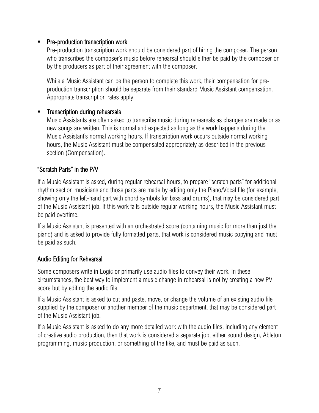### Pre-production transcription work

Pre-production transcription work should be considered part of hiring the composer. The person who transcribes the composer's music before rehearsal should either be paid by the composer or by the producers as part of their agreement with the composer.

While a Music Assistant can be the person to complete this work, their compensation for preproduction transcription should be separate from their standard Music Assistant compensation. Appropriate transcription rates apply.

#### Transcription during rehearsals

Music Assistants are often asked to transcribe music during rehearsals as changes are made or as new songs are written. This is normal and expected as long as the work happens during the Music Assistant's normal working hours. If transcription work occurs outside normal working hours, the Music Assistant must be compensated appropriately as described in the previous section (Compensation).

### "Scratch Parts" in the P/V

If a Music Assistant is asked, during regular rehearsal hours, to prepare "scratch parts" for additional rhythm section musicians and those parts are made by editing only the Piano/Vocal file (for example, showing only the left-hand part with chord symbols for bass and drums), that may be considered part of the Music Assistant job. If this work falls outside regular working hours, the Music Assistant must be paid overtime.

If a Music Assistant is presented with an orchestrated score (containing music for more than just the piano) and is asked to provide fully formatted parts, that work is considered music copying and must be paid as such.

#### Audio Editing for Rehearsal

Some composers write in Logic or primarily use audio files to convey their work. In these circumstances, the best way to implement a music change in rehearsal is not by creating a new PV score but by editing the audio file.

If a Music Assistant is asked to cut and paste, move, or change the volume of an existing audio file supplied by the composer or another member of the music department, that may be considered part of the Music Assistant job.

If a Music Assistant is asked to do any more detailed work with the audio files, including any element of creative audio production, then that work is considered a separate job, either sound design, Ableton programming, music production, or something of the like, and must be paid as such.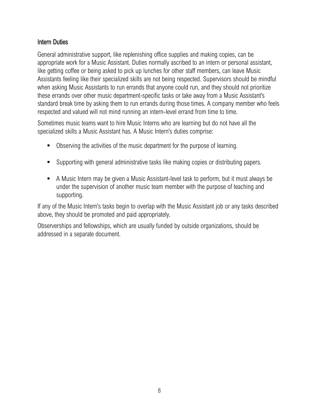#### Intern Duties

General administrative support, like replenishing office supplies and making copies, can be appropriate work for a Music Assistant. Duties normally ascribed to an intern or personal assistant, like getting coffee or being asked to pick up lunches for other staff members, can leave Music Assistants feeling like their specialized skills are not being respected. Supervisors should be mindful when asking Music Assistants to run errands that anyone could run, and they should not prioritize these errands over other music department-specific tasks or take away from a Music Assistant's standard break time by asking them to run errands during those times. A company member who feels respected and valued will not mind running an intern-level errand from time to time.

Sometimes music teams want to hire Music Interns who are learning but do not have all the specialized skills a Music Assistant has. A Music Intern's duties comprise:

- **Dimerging 10 Serving the activities of the music department for the purpose of learning.**
- Supporting with general administrative tasks like making copies or distributing papers.
- A Music Intern may be given a Music Assistant-level task to perform, but it must always be under the supervision of another music team member with the purpose of teaching and supporting.

If any of the Music Intern's tasks begin to overlap with the Music Assistant job or any tasks described above, they should be promoted and paid appropriately.

Observerships and fellowships, which are usually funded by outside organizations, should be addressed in a separate document.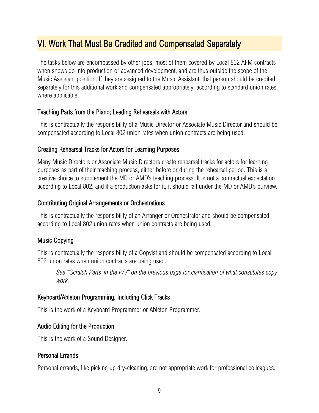### <span id="page-11-0"></span>VI. Work That Must Be Credited and Compensated Separately

The tasks below are encompassed by other jobs, most of them covered by Local 802 AFM contracts when shows go into production or advanced development, and are thus outside the scope of the Music Assistant position. If they are assigned to the Music Assistant, that person should be credited separately for this additional work and compensated appropriately, according to standard union rates where applicable.

### Teaching Parts from the Piano; Leading Rehearsals with Actors

This is contractually the responsibility of a Music Director or Associate Music Director and should be compensated according to Local 802 union rates when union contracts are being used.

### Creating Rehearsal Tracks for Actors for Learning Purposes

Many Music Directors or Associate Music Directors create rehearsal tracks for actors for learning purposes as part of their teaching process, either before or during the rehearsal period. This is a creative choice to supplement the MD or AMD's teaching process. It is not a contractual expectation according to Local 802, and if a production asks for it, it should fall under the MD or AMD's purview.

### Contributing Original Arrangements or Orchestrations

This is contractually the responsibility of an Arranger or Orchestrator and should be compensated according to Local 802 union rates when union contracts are being used.

### Music Copying

This is contractually the responsibility of a Copyist and should be compensated according to Local 802 union rates when union contracts are being used.

*See "'Scratch Parts' in the P/V" on the previous page for clarification of what constitutes copy work.*

### Keyboard/Ableton Programming, Including Click Tracks

This is the work of a Keyboard Programmer or Ableton Programmer.

### Audio Editing for the Production

This is the work of a Sound Designer.

### Personal Errands

Personal errands, like picking up dry-cleaning, are not appropriate work for professional colleagues.